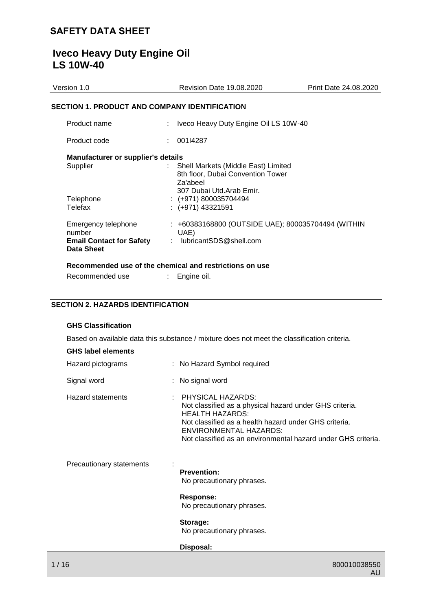# **Iveco Heavy Duty Engine Oil LS 10W-40**

| Version 1.0                                             | <b>Revision Date 19.08.2020</b>                                                                                  | Print Date 24.08.2020 |
|---------------------------------------------------------|------------------------------------------------------------------------------------------------------------------|-----------------------|
| <b>SECTION 1. PRODUCT AND COMPANY IDENTIFICATION</b>    |                                                                                                                  |                       |
| Product name                                            | Iveco Heavy Duty Engine Oil LS 10W-40                                                                            |                       |
| Product code                                            | 001I4287                                                                                                         |                       |
| <b>Manufacturer or supplier's details</b>               |                                                                                                                  |                       |
| Supplier                                                | Shell Markets (Middle East) Limited<br>8th floor, Dubai Convention Tower<br>Za'abeel<br>307 Dubai Utd.Arab Emir. |                       |
| Telephone                                               | $:(+971)800035704494$                                                                                            |                       |
| Telefax                                                 | $: (+971)$ 43321591                                                                                              |                       |
| Emergency telephone<br>number                           | : +60383168800 (OUTSIDE UAE); 800035704494 (WITHIN<br>UAE)                                                       |                       |
| <b>Email Contact for Safety</b><br>Data Sheet           | lubricantSDS@shell.com                                                                                           |                       |
| Recommended use of the chemical and restrictions on use |                                                                                                                  |                       |
| Recommended use                                         | Engine oil.                                                                                                      |                       |
|                                                         |                                                                                                                  |                       |

## **SECTION 2. HAZARDS IDENTIFICATION**

# **GHS Classification**

Based on available data this substance / mixture does not meet the classification criteria.

|  |  | <b>GHS label elements</b> |  |
|--|--|---------------------------|--|
|--|--|---------------------------|--|

| Hazard pictograms        | : No Hazard Symbol required                                                                                                                                                                                                                                |
|--------------------------|------------------------------------------------------------------------------------------------------------------------------------------------------------------------------------------------------------------------------------------------------------|
| Signal word              | : No signal word                                                                                                                                                                                                                                           |
| Hazard statements        | PHYSICAL HAZARDS:<br>Not classified as a physical hazard under GHS criteria.<br><b>HEALTH HAZARDS:</b><br>Not classified as a health hazard under GHS criteria.<br>ENVIRONMENTAL HAZARDS:<br>Not classified as an environmental hazard under GHS criteria. |
| Precautionary statements | <b>Prevention:</b><br>No precautionary phrases.                                                                                                                                                                                                            |
|                          | <b>Response:</b><br>No precautionary phrases.                                                                                                                                                                                                              |
|                          | Storage:<br>No precautionary phrases.                                                                                                                                                                                                                      |
|                          | Disposal:                                                                                                                                                                                                                                                  |
| 1/16                     | 800010038550                                                                                                                                                                                                                                               |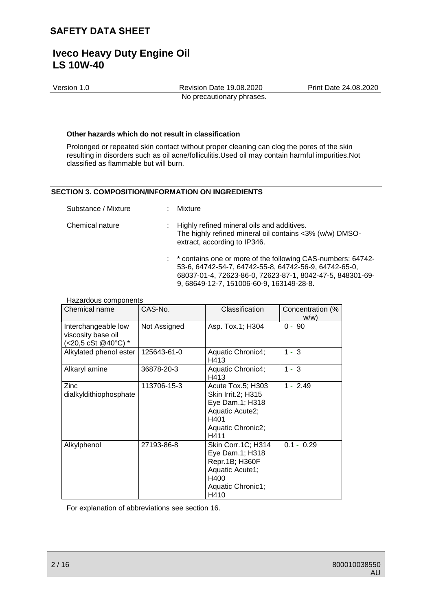Version 1.0 Revision Date 19.08.2020 Print Date 24.08.2020 No precautionary phrases.

### **Other hazards which do not result in classification**

Prolonged or repeated skin contact without proper cleaning can clog the pores of the skin resulting in disorders such as oil acne/folliculitis.Used oil may contain harmful impurities.Not classified as flammable but will burn.

## **SECTION 3. COMPOSITION/INFORMATION ON INGREDIENTS**

| Substance / Mixture | : Mixture                                                                                                                                                                                                                       |
|---------------------|---------------------------------------------------------------------------------------------------------------------------------------------------------------------------------------------------------------------------------|
| Chemical nature     | : Highly refined mineral oils and additives.<br>The highly refined mineral oil contains <3% (w/w) DMSO-<br>extract, according to IP346.                                                                                         |
|                     | : * contains one or more of the following CAS-numbers: 64742-<br>53-6, 64742-54-7, 64742-55-8, 64742-56-9, 64742-65-0,<br>68037-01-4, 72623-86-0, 72623-87-1, 8042-47-5, 848301-69-<br>9, 68649-12-7, 151006-60-9, 163149-28-8. |

#### Hazardous components

| Chemical name                                                    | CAS-No.      | Classification                                                                                                     | Concentration (%<br>W/W |
|------------------------------------------------------------------|--------------|--------------------------------------------------------------------------------------------------------------------|-------------------------|
| Interchangeable low<br>viscosity base oil<br>(<20,5 cSt @40°C) * | Not Assigned | Asp. Tox.1; H304                                                                                                   | $0 - 90$                |
| Alkylated phenol ester                                           | 125643-61-0  | Aquatic Chronic4;<br>H413                                                                                          | $1 - 3$                 |
| Alkaryl amine                                                    | 36878-20-3   | Aquatic Chronic4;<br>H413                                                                                          | $1 - 3$                 |
| Zinc<br>dialkyldithiophosphate                                   | 113706-15-3  | Acute Tox.5; H303<br>Skin Irrit.2; H315<br>Eye Dam.1; H318<br>Aquatic Acute2;<br>H401<br>Aquatic Chronic2;<br>H411 | $1 - 2.49$              |
| Alkylphenol                                                      | 27193-86-8   | Skin Corr.1C; H314<br>Eye Dam.1; H318<br>Repr.1B; H360F<br>Aquatic Acute1;<br>H400<br>Aquatic Chronic1;<br>H410    | $0.1 - 0.29$            |

For explanation of abbreviations see section 16.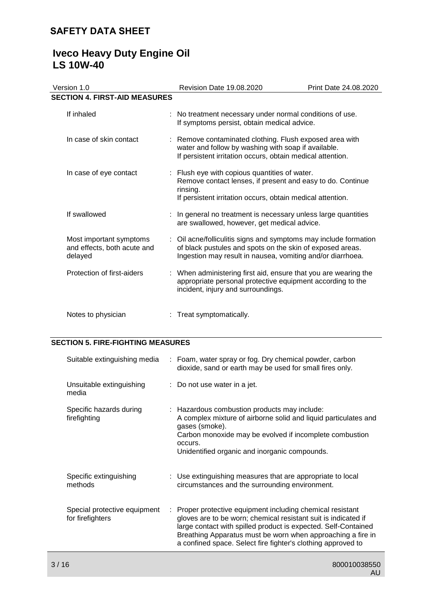# **Iveco Heavy Duty Engine Oil LS 10W-40**

| Version 1.0                                                       | Revision Date 19.08.2020                                                                                                                                                                    | Print Date 24.08.2020 |
|-------------------------------------------------------------------|---------------------------------------------------------------------------------------------------------------------------------------------------------------------------------------------|-----------------------|
| <b>SECTION 4. FIRST-AID MEASURES</b>                              |                                                                                                                                                                                             |                       |
| If inhaled                                                        | : No treatment necessary under normal conditions of use.<br>If symptoms persist, obtain medical advice.                                                                                     |                       |
| In case of skin contact                                           | : Remove contaminated clothing. Flush exposed area with<br>water and follow by washing with soap if available.<br>If persistent irritation occurs, obtain medical attention.                |                       |
| In case of eye contact                                            | : Flush eye with copious quantities of water.<br>Remove contact lenses, if present and easy to do. Continue<br>rinsing.<br>If persistent irritation occurs, obtain medical attention.       |                       |
| If swallowed                                                      | : In general no treatment is necessary unless large quantities<br>are swallowed, however, get medical advice.                                                                               |                       |
| Most important symptoms<br>and effects, both acute and<br>delayed | : Oil acne/folliculitis signs and symptoms may include formation<br>of black pustules and spots on the skin of exposed areas.<br>Ingestion may result in nausea, vomiting and/or diarrhoea. |                       |
| Protection of first-aiders                                        | : When administering first aid, ensure that you are wearing the<br>appropriate personal protective equipment according to the<br>incident, injury and surroundings.                         |                       |
| Notes to physician                                                | Treat symptomatically.                                                                                                                                                                      |                       |

# **SECTION 5. FIRE-FIGHTING MEASURES**

| Suitable extinguishing media                     | : Foam, water spray or fog. Dry chemical powder, carbon<br>dioxide, sand or earth may be used for small fires only.                                                                                                                                                                                                           |
|--------------------------------------------------|-------------------------------------------------------------------------------------------------------------------------------------------------------------------------------------------------------------------------------------------------------------------------------------------------------------------------------|
| Unsuitable extinguishing<br>media                | : Do not use water in a jet.                                                                                                                                                                                                                                                                                                  |
| Specific hazards during<br>firefighting          | : Hazardous combustion products may include:<br>A complex mixture of airborne solid and liquid particulates and<br>gases (smoke).<br>Carbon monoxide may be evolved if incomplete combustion<br>occurs.<br>Unidentified organic and inorganic compounds.                                                                      |
| Specific extinguishing<br>methods                | : Use extinguishing measures that are appropriate to local<br>circumstances and the surrounding environment.                                                                                                                                                                                                                  |
| Special protective equipment<br>for firefighters | : Proper protective equipment including chemical resistant<br>gloves are to be worn; chemical resistant suit is indicated if<br>large contact with spilled product is expected. Self-Contained<br>Breathing Apparatus must be worn when approaching a fire in<br>a confined space. Select fire fighter's clothing approved to |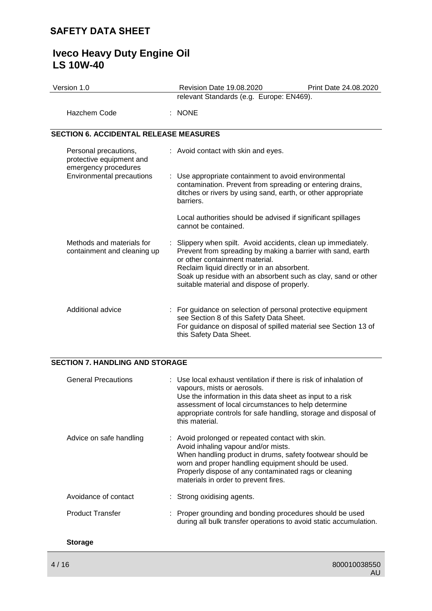# **Iveco Heavy Duty Engine Oil LS 10W-40**

| Version 1.0                                                               |  | <b>Revision Date 19.08.2020</b>                                                                                                                                                                                                                                                                                              | Print Date 24.08.2020 |
|---------------------------------------------------------------------------|--|------------------------------------------------------------------------------------------------------------------------------------------------------------------------------------------------------------------------------------------------------------------------------------------------------------------------------|-----------------------|
|                                                                           |  | relevant Standards (e.g. Europe: EN469).                                                                                                                                                                                                                                                                                     |                       |
| Hazchem Code                                                              |  | $:$ NONE                                                                                                                                                                                                                                                                                                                     |                       |
| <b>SECTION 6. ACCIDENTAL RELEASE MEASURES</b>                             |  |                                                                                                                                                                                                                                                                                                                              |                       |
| Personal precautions,<br>protective equipment and<br>emergency procedures |  | : Avoid contact with skin and eyes.                                                                                                                                                                                                                                                                                          |                       |
| <b>Environmental precautions</b>                                          |  | : Use appropriate containment to avoid environmental<br>contamination. Prevent from spreading or entering drains,<br>ditches or rivers by using sand, earth, or other appropriate<br>barriers.                                                                                                                               |                       |
|                                                                           |  | Local authorities should be advised if significant spillages<br>cannot be contained.                                                                                                                                                                                                                                         |                       |
| Methods and materials for<br>containment and cleaning up                  |  | : Slippery when spilt. Avoid accidents, clean up immediately.<br>Prevent from spreading by making a barrier with sand, earth<br>or other containment material.<br>Reclaim liquid directly or in an absorbent.<br>Soak up residue with an absorbent such as clay, sand or other<br>suitable material and dispose of properly. |                       |
| Additional advice                                                         |  | : For guidance on selection of personal protective equipment<br>see Section 8 of this Safety Data Sheet.<br>For guidance on disposal of spilled material see Section 13 of<br>this Safety Data Sheet.                                                                                                                        |                       |

# **SECTION 7. HANDLING AND STORAGE**

| <b>General Precautions</b> | : Use local exhaust ventilation if there is risk of inhalation of<br>vapours, mists or aerosols.<br>Use the information in this data sheet as input to a risk<br>assessment of local circumstances to help determine<br>appropriate controls for safe handling, storage and disposal of<br>this material.   |
|----------------------------|-------------------------------------------------------------------------------------------------------------------------------------------------------------------------------------------------------------------------------------------------------------------------------------------------------------|
| Advice on safe handling    | : Avoid prolonged or repeated contact with skin.<br>Avoid inhaling vapour and/or mists.<br>When handling product in drums, safety footwear should be<br>worn and proper handling equipment should be used.<br>Properly dispose of any contaminated rags or cleaning<br>materials in order to prevent fires. |
| Avoidance of contact       | : Strong oxidising agents.                                                                                                                                                                                                                                                                                  |
| <b>Product Transfer</b>    | : Proper grounding and bonding procedures should be used<br>during all bulk transfer operations to avoid static accumulation.                                                                                                                                                                               |
| <b>Storage</b>             |                                                                                                                                                                                                                                                                                                             |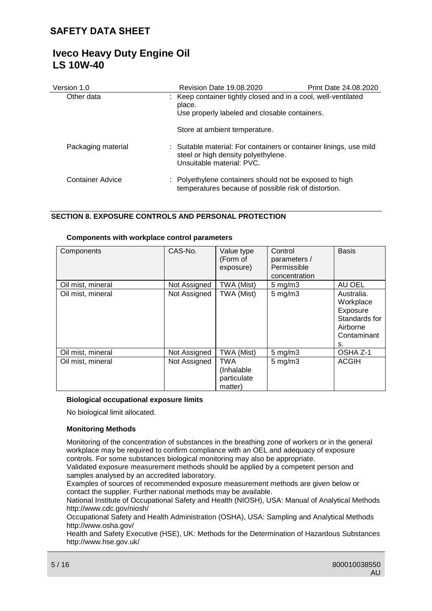| Version 1.0        | <b>Revision Date 19.08.2020</b>                                                                                                        | Print Date 24.08.2020 |
|--------------------|----------------------------------------------------------------------------------------------------------------------------------------|-----------------------|
| Other data         | : Keep container tightly closed and in a cool, well-ventilated<br>place.<br>Use properly labeled and closable containers.              |                       |
|                    | Store at ambient temperature.                                                                                                          |                       |
| Packaging material | : Suitable material: For containers or container linings, use mild<br>steel or high density polyethylene.<br>Unsuitable material: PVC. |                       |
| Container Advice   | : Polyethylene containers should not be exposed to high<br>temperatures because of possible risk of distortion.                        |                       |

## **SECTION 8. EXPOSURE CONTROLS AND PERSONAL PROTECTION**

### **Components with workplace control parameters**

| Components        | CAS-No.      | Value type<br>(Form of<br>exposure)                | Control<br>parameters /<br>Permissible<br>concentration | <b>Basis</b>                                                                          |
|-------------------|--------------|----------------------------------------------------|---------------------------------------------------------|---------------------------------------------------------------------------------------|
| Oil mist, mineral | Not Assigned | TWA (Mist)                                         | $5 \text{ mg/m}$ 3                                      | AU OEL                                                                                |
| Oil mist, mineral | Not Assigned | TWA (Mist)                                         | $5$ mg/m $3$                                            | Australia.<br>Workplace<br>Exposure<br>Standards for<br>Airborne<br>Contaminant<br>s. |
| Oil mist, mineral | Not Assigned | TWA (Mist)                                         | $5 \text{ mg/m}$ 3                                      | OSHA Z-1                                                                              |
| Oil mist, mineral | Not Assigned | <b>TWA</b><br>(Inhalable<br>particulate<br>matter) | $5$ mg/m $3$                                            | <b>ACGIH</b>                                                                          |

## **Biological occupational exposure limits**

No biological limit allocated.

## **Monitoring Methods**

Monitoring of the concentration of substances in the breathing zone of workers or in the general workplace may be required to confirm compliance with an OEL and adequacy of exposure controls. For some substances biological monitoring may also be appropriate.

Validated exposure measurement methods should be applied by a competent person and samples analysed by an accredited laboratory.

Examples of sources of recommended exposure measurement methods are given below or contact the supplier. Further national methods may be available.

National Institute of Occupational Safety and Health (NIOSH), USA: Manual of Analytical Methods http://www.cdc.gov/niosh/

Occupational Safety and Health Administration (OSHA), USA: Sampling and Analytical Methods http://www.osha.gov/

Health and Safety Executive (HSE), UK: Methods for the Determination of Hazardous Substances http://www.hse.gov.uk/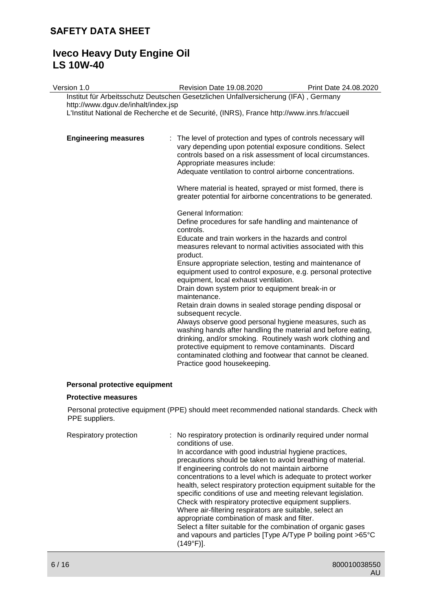# **Iveco Heavy Duty Engine Oil LS 10W-40**

| Version 1.0                         | Revision Date 19.08.2020                                                                                                                                                                                                                                                                                                                                                                                                                                                                                                                                                                                                                                                                                                                                                                                   | Print Date 24.08.2020 |
|-------------------------------------|------------------------------------------------------------------------------------------------------------------------------------------------------------------------------------------------------------------------------------------------------------------------------------------------------------------------------------------------------------------------------------------------------------------------------------------------------------------------------------------------------------------------------------------------------------------------------------------------------------------------------------------------------------------------------------------------------------------------------------------------------------------------------------------------------------|-----------------------|
| http://www.dguv.de/inhalt/index.jsp | Institut für Arbeitsschutz Deutschen Gesetzlichen Unfallversicherung (IFA), Germany                                                                                                                                                                                                                                                                                                                                                                                                                                                                                                                                                                                                                                                                                                                        |                       |
|                                     | L'Institut National de Recherche et de Securité, (INRS), France http://www.inrs.fr/accueil                                                                                                                                                                                                                                                                                                                                                                                                                                                                                                                                                                                                                                                                                                                 |                       |
| <b>Engineering measures</b><br>÷    | The level of protection and types of controls necessary will<br>vary depending upon potential exposure conditions. Select<br>controls based on a risk assessment of local circumstances.<br>Appropriate measures include:<br>Adequate ventilation to control airborne concentrations.<br>Where material is heated, sprayed or mist formed, there is<br>greater potential for airborne concentrations to be generated.                                                                                                                                                                                                                                                                                                                                                                                      |                       |
|                                     |                                                                                                                                                                                                                                                                                                                                                                                                                                                                                                                                                                                                                                                                                                                                                                                                            |                       |
|                                     | General Information:<br>Define procedures for safe handling and maintenance of<br>controls.<br>Educate and train workers in the hazards and control<br>measures relevant to normal activities associated with this<br>product.<br>Ensure appropriate selection, testing and maintenance of<br>equipment used to control exposure, e.g. personal protective<br>equipment, local exhaust ventilation.<br>Drain down system prior to equipment break-in or<br>maintenance.<br>Retain drain downs in sealed storage pending disposal or<br>subsequent recycle.<br>Always observe good personal hygiene measures, such as<br>washing hands after handling the material and before eating,<br>drinking, and/or smoking. Routinely wash work clothing and<br>protective equipment to remove contaminants. Discard |                       |
|                                     | contaminated clothing and footwear that cannot be cleaned.<br>Practice good housekeeping.                                                                                                                                                                                                                                                                                                                                                                                                                                                                                                                                                                                                                                                                                                                  |                       |
| Personal protective equipment       |                                                                                                                                                                                                                                                                                                                                                                                                                                                                                                                                                                                                                                                                                                                                                                                                            |                       |

## **Protective measures**

Personal protective equipment (PPE) should meet recommended national standards. Check with PPE suppliers.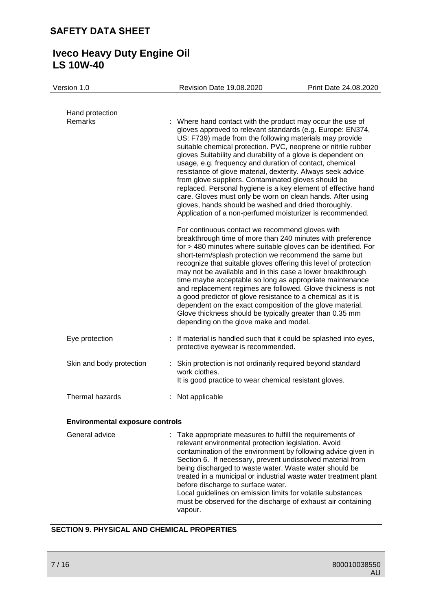# **Iveco Heavy Duty Engine Oil LS 10W-40**

| Version 1.0                            | Revision Date 19.08.2020                                                                                                                                                                                                             | Print Date 24.08.2020                                                                                                                                                                                                                                                                                                                                                                                                                                                                                                                                                         |
|----------------------------------------|--------------------------------------------------------------------------------------------------------------------------------------------------------------------------------------------------------------------------------------|-------------------------------------------------------------------------------------------------------------------------------------------------------------------------------------------------------------------------------------------------------------------------------------------------------------------------------------------------------------------------------------------------------------------------------------------------------------------------------------------------------------------------------------------------------------------------------|
| Hand protection<br>Remarks             | : Where hand contact with the product may occur the use of<br>usage, e.g. frequency and duration of contact, chemical<br>from glove suppliers. Contaminated gloves should be<br>gloves, hands should be washed and dried thoroughly. | gloves approved to relevant standards (e.g. Europe: EN374,<br>US: F739) made from the following materials may provide<br>suitable chemical protection. PVC, neoprene or nitrile rubber<br>gloves Suitability and durability of a glove is dependent on<br>resistance of glove material, dexterity. Always seek advice<br>replaced. Personal hygiene is a key element of effective hand<br>care. Gloves must only be worn on clean hands. After using<br>Application of a non-perfumed moisturizer is recommended.                                                             |
|                                        | For continuous contact we recommend gloves with<br>a good predictor of glove resistance to a chemical as it is<br>depending on the glove make and model.                                                                             | breakthrough time of more than 240 minutes with preference<br>for > 480 minutes where suitable gloves can be identified. For<br>short-term/splash protection we recommend the same but<br>recognize that suitable gloves offering this level of protection<br>may not be available and in this case a lower breakthrough<br>time maybe acceptable so long as appropriate maintenance<br>and replacement regimes are followed. Glove thickness is not<br>dependent on the exact composition of the glove material.<br>Glove thickness should be typically greater than 0.35 mm |
| Eye protection                         | protective eyewear is recommended.                                                                                                                                                                                                   | : If material is handled such that it could be splashed into eyes,                                                                                                                                                                                                                                                                                                                                                                                                                                                                                                            |
| Skin and body protection               | : Skin protection is not ordinarily required beyond standard<br>work clothes.<br>It is good practice to wear chemical resistant gloves.                                                                                              |                                                                                                                                                                                                                                                                                                                                                                                                                                                                                                                                                                               |
| Thermal hazards                        | : Not applicable                                                                                                                                                                                                                     |                                                                                                                                                                                                                                                                                                                                                                                                                                                                                                                                                                               |
| <b>Environmental exposure controls</b> |                                                                                                                                                                                                                                      |                                                                                                                                                                                                                                                                                                                                                                                                                                                                                                                                                                               |
| General advice                         | : Take appropriate measures to fulfill the requirements of<br>relevant environmental protection legislation. Avoid                                                                                                                   | contamination of the environment by following advice given in                                                                                                                                                                                                                                                                                                                                                                                                                                                                                                                 |

Section 6. If necessary, prevent undissolved material from being discharged to waste water. Waste water should be treated in a municipal or industrial waste water treatment plant before discharge to surface water. Local guidelines on emission limits for volatile substances must be observed for the discharge of exhaust air containing

# **SECTION 9. PHYSICAL AND CHEMICAL PROPERTIES**

vapour.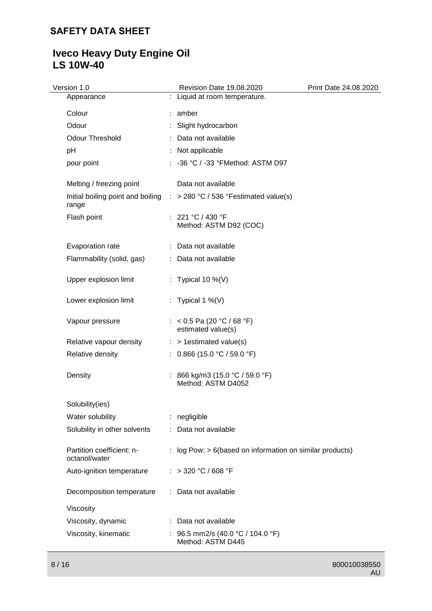# **Iveco Heavy Duty Engine Oil LS 10W-40**

| Version 1.0                                | Revision Date 19.08.2020                                                           | Print Date 24.08.2020 |
|--------------------------------------------|------------------------------------------------------------------------------------|-----------------------|
| Appearance                                 | : Liquid at room temperature.                                                      |                       |
| Colour                                     | : amber                                                                            |                       |
| Odour                                      | Slight hydrocarbon                                                                 |                       |
| Odour Threshold                            | : Data not available                                                               |                       |
| pH                                         | Not applicable                                                                     |                       |
| pour point                                 | : -36 °C / -33 °FMethod: ASTM D97                                                  |                       |
| Melting / freezing point                   | Data not available                                                                 |                       |
| range                                      | Initial boiling point and boiling $\therefore$ > 280 °C / 536 °Festimated value(s) |                       |
| Flash point                                | : 221 °C / 430 °F<br>Method: ASTM D92 (COC)                                        |                       |
| Evaporation rate                           | : Data not available                                                               |                       |
| Flammability (solid, gas)                  | : Data not available                                                               |                       |
| Upper explosion limit                      | : Typical 10 %(V)                                                                  |                       |
| Lower explosion limit                      | : Typical 1 %(V)                                                                   |                       |
| Vapour pressure                            | : < 0.5 Pa (20 °C / 68 °F)<br>estimated value(s)                                   |                       |
| Relative vapour density                    | $:$ > 1 estimated value(s)                                                         |                       |
| Relative density                           | : $0.866$ (15.0 °C / 59.0 °F)                                                      |                       |
| Density                                    | : 866 kg/m3 (15.0 °C / 59.0 °F)<br>Method: ASTM D4052                              |                       |
| Solubility(ies)                            |                                                                                    |                       |
| Water solubility                           | : negligible                                                                       |                       |
| Solubility in other solvents               | : Data not available                                                               |                       |
| Partition coefficient: n-<br>octanol/water | : log Pow: $> 6$ (based on information on similar products)                        |                       |
| Auto-ignition temperature                  | : > 320 °C / 608 °F                                                                |                       |
| Decomposition temperature                  | : Data not available                                                               |                       |
| Viscosity                                  |                                                                                    |                       |
| Viscosity, dynamic                         | : Data not available                                                               |                       |
| Viscosity, kinematic                       | : 96.5 mm2/s (40.0 °C / 104.0 °F)<br>Method: ASTM D445                             |                       |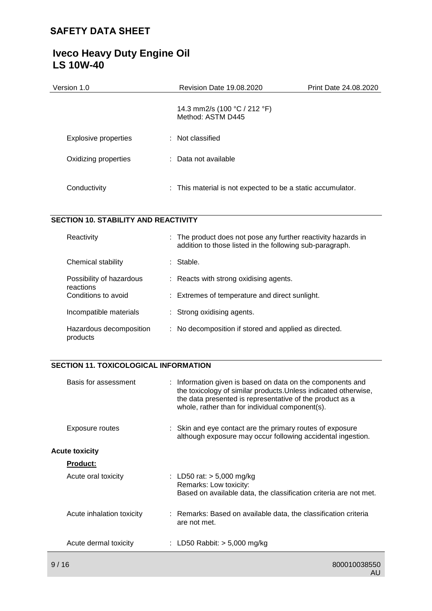| Version 1.0                 | Revision Date 19.08.2020                                    | Print Date 24.08.2020 |
|-----------------------------|-------------------------------------------------------------|-----------------------|
|                             | 14.3 mm2/s (100 °C / 212 °F)<br>Method: ASTM D445           |                       |
| <b>Explosive properties</b> | $\therefore$ Not classified                                 |                       |
| Oxidizing properties        | : Data not available                                        |                       |
| Conductivity                | : This material is not expected to be a static accumulator. |                       |

# **SECTION 10. STABILITY AND REACTIVITY**

| Reactivity                            | : The product does not pose any further reactivity hazards in<br>addition to those listed in the following sub-paragraph. |
|---------------------------------------|---------------------------------------------------------------------------------------------------------------------------|
| Chemical stability                    | : Stable.                                                                                                                 |
| Possibility of hazardous<br>reactions | $\therefore$ Reacts with strong oxidising agents.                                                                         |
| Conditions to avoid                   | : Extremes of temperature and direct sunlight.                                                                            |
| Incompatible materials                | : Strong oxidising agents.                                                                                                |
| Hazardous decomposition<br>products   | : No decomposition if stored and applied as directed.                                                                     |

# **SECTION 11. TOXICOLOGICAL INFORMATION**

| Basis for assessment      | : Information given is based on data on the components and<br>the toxicology of similar products. Unless indicated otherwise,<br>the data presented is representative of the product as a<br>whole, rather than for individual component(s). |
|---------------------------|----------------------------------------------------------------------------------------------------------------------------------------------------------------------------------------------------------------------------------------------|
| Exposure routes           | : Skin and eye contact are the primary routes of exposure<br>although exposure may occur following accidental ingestion.                                                                                                                     |
| Acute toxicity            |                                                                                                                                                                                                                                              |
| <u>Product:</u>           |                                                                                                                                                                                                                                              |
| Acute oral toxicity       | : LD50 rat: $> 5,000$ mg/kg<br>Remarks: Low toxicity:<br>Based on available data, the classification criteria are not met.                                                                                                                   |
| Acute inhalation toxicity | : Remarks: Based on available data, the classification criteria<br>are not met.                                                                                                                                                              |
| Acute dermal toxicity     | : LD50 Rabbit: $>$ 5,000 mg/kg                                                                                                                                                                                                               |
|                           |                                                                                                                                                                                                                                              |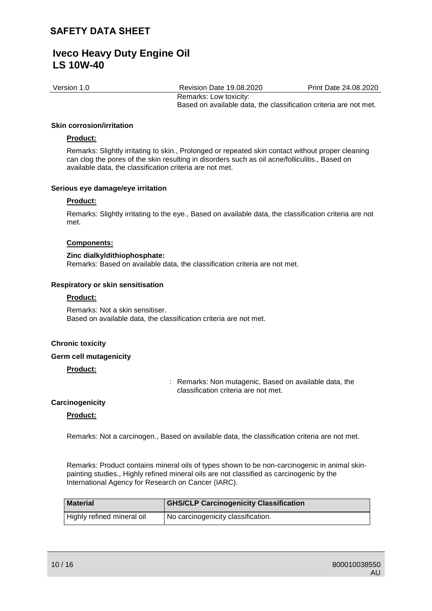Version 1.0 Revision Date 19.08.2020 Print Date 24.08.2020

Remarks: Low toxicity: Based on available data, the classification criteria are not met.

### **Skin corrosion/irritation**

## **Product:**

Remarks: Slightly irritating to skin., Prolonged or repeated skin contact without proper cleaning can clog the pores of the skin resulting in disorders such as oil acne/folliculitis., Based on available data, the classification criteria are not met.

## **Serious eye damage/eye irritation**

### **Product:**

Remarks: Slightly irritating to the eye., Based on available data, the classification criteria are not met.

### **Components:**

### **Zinc dialkyldithiophosphate:**

Remarks: Based on available data, the classification criteria are not met.

### **Respiratory or skin sensitisation**

## **Product:**

Remarks: Not a skin sensitiser. Based on available data, the classification criteria are not met.

### **Chronic toxicity**

### **Germ cell mutagenicity**

## **Product:**

: Remarks: Non mutagenic, Based on available data, the classification criteria are not met.

### **Carcinogenicity**

### **Product:**

Remarks: Not a carcinogen., Based on available data, the classification criteria are not met.

Remarks: Product contains mineral oils of types shown to be non-carcinogenic in animal skinpainting studies., Highly refined mineral oils are not classified as carcinogenic by the International Agency for Research on Cancer (IARC).

| <b>Material</b>            | <b>GHS/CLP Carcinogenicity Classification</b> |
|----------------------------|-----------------------------------------------|
| Highly refined mineral oil | No carcinogenicity classification.            |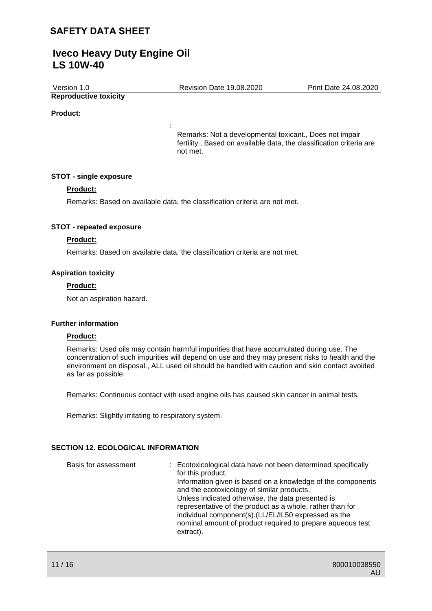# **Iveco Heavy Duty Engine Oil LS 10W-40**

| Version 1.0 | <b>Revision Date 19.08.2020</b> | Print Date 24.08.2020 |
|-------------|---------------------------------|-----------------------|
|             |                                 |                       |

# **Reproductive toxicity**

## **Product:**

Remarks: Not a developmental toxicant., Does not impair fertility., Based on available data, the classification criteria are not met.

## **STOT - single exposure**

## **Product:**

Remarks: Based on available data, the classification criteria are not met.

:

## **STOT - repeated exposure**

## **Product:**

Remarks: Based on available data, the classification criteria are not met.

## **Aspiration toxicity**

## **Product:**

Not an aspiration hazard.

## **Further information**

## **Product:**

Remarks: Used oils may contain harmful impurities that have accumulated during use. The concentration of such impurities will depend on use and they may present risks to health and the environment on disposal., ALL used oil should be handled with caution and skin contact avoided as far as possible.

Remarks: Continuous contact with used engine oils has caused skin cancer in animal tests.

Remarks: Slightly irritating to respiratory system.

## **SECTION 12. ECOLOGICAL INFORMATION**

| Basis for assessment | : Ecotoxicological data have not been determined specifically<br>for this product.<br>Information given is based on a knowledge of the components<br>and the ecotoxicology of similar products.<br>Unless indicated otherwise, the data presented is<br>representative of the product as a whole, rather than for<br>individual component(s). (LL/EL/IL50 expressed as the<br>nominal amount of product required to prepare aqueous test<br>extract). |
|----------------------|-------------------------------------------------------------------------------------------------------------------------------------------------------------------------------------------------------------------------------------------------------------------------------------------------------------------------------------------------------------------------------------------------------------------------------------------------------|
|----------------------|-------------------------------------------------------------------------------------------------------------------------------------------------------------------------------------------------------------------------------------------------------------------------------------------------------------------------------------------------------------------------------------------------------------------------------------------------------|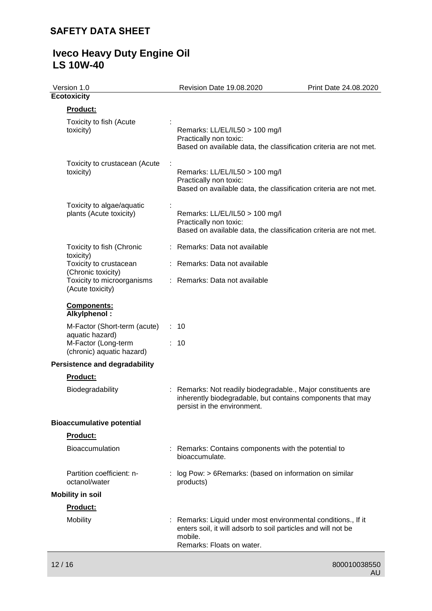# **Iveco Heavy Duty Engine Oil LS 10W-40**

| Revision Date 19.08.2020                                                                                                                                             | Print Date 24.08.2020                                                                                          |
|----------------------------------------------------------------------------------------------------------------------------------------------------------------------|----------------------------------------------------------------------------------------------------------------|
|                                                                                                                                                                      |                                                                                                                |
|                                                                                                                                                                      |                                                                                                                |
| Remarks: LL/EL/IL50 > 100 mg/l<br>Practically non toxic:<br>Based on available data, the classification criteria are not met.                                        |                                                                                                                |
| Remarks: LL/EL/IL50 > 100 mg/l<br>Practically non toxic:<br>Based on available data, the classification criteria are not met.                                        |                                                                                                                |
| Remarks: LL/EL/IL50 > 100 mg/l<br>Practically non toxic:<br>Based on available data, the classification criteria are not met.                                        |                                                                                                                |
|                                                                                                                                                                      |                                                                                                                |
| Remarks: Data not available                                                                                                                                          |                                                                                                                |
| Remarks: Data not available                                                                                                                                          |                                                                                                                |
|                                                                                                                                                                      |                                                                                                                |
|                                                                                                                                                                      |                                                                                                                |
|                                                                                                                                                                      |                                                                                                                |
|                                                                                                                                                                      |                                                                                                                |
|                                                                                                                                                                      |                                                                                                                |
| Remarks: Not readily biodegradable., Major constituents are<br>inherently biodegradable, but contains components that may<br>persist in the environment.             |                                                                                                                |
|                                                                                                                                                                      |                                                                                                                |
|                                                                                                                                                                      |                                                                                                                |
| bioaccumulate.                                                                                                                                                       |                                                                                                                |
| log Pow: > 6Remarks: (based on information on similar<br>products)                                                                                                   |                                                                                                                |
|                                                                                                                                                                      |                                                                                                                |
|                                                                                                                                                                      |                                                                                                                |
| Remarks: Liquid under most environmental conditions., If it<br>enters soil, it will adsorb to soil particles and will not be<br>mobile.<br>Remarks: Floats on water. |                                                                                                                |
|                                                                                                                                                                      | : Remarks: Data not available<br>$\therefore$ 10<br>10<br>: Remarks: Contains components with the potential to |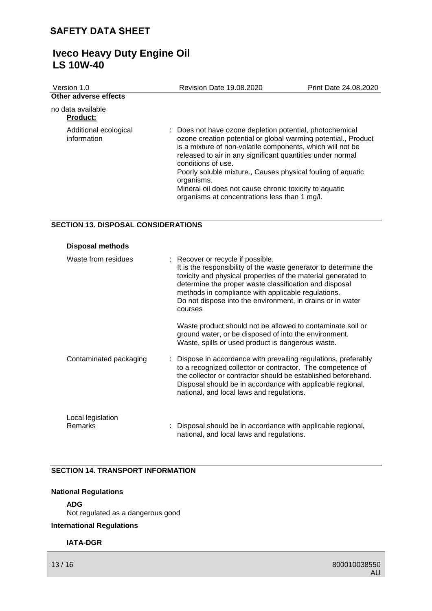| Version 1.0                          | <b>Revision Date 19.08.2020</b>                                                                                                                                                                                                                                                                                                                                                                                                                                      | Print Date 24.08.2020 |
|--------------------------------------|----------------------------------------------------------------------------------------------------------------------------------------------------------------------------------------------------------------------------------------------------------------------------------------------------------------------------------------------------------------------------------------------------------------------------------------------------------------------|-----------------------|
| Other adverse effects                |                                                                                                                                                                                                                                                                                                                                                                                                                                                                      |                       |
| no data available<br><b>Product:</b> |                                                                                                                                                                                                                                                                                                                                                                                                                                                                      |                       |
| Additional ecological<br>information | : Does not have ozone depletion potential, photochemical<br>ozone creation potential or global warming potential., Product<br>is a mixture of non-volatile components, which will not be<br>released to air in any significant quantities under normal<br>conditions of use.<br>Poorly soluble mixture., Causes physical fouling of aquatic<br>organisms.<br>Mineral oil does not cause chronic toxicity to aquatic<br>organisms at concentrations less than 1 mg/l. |                       |

## **SECTION 13. DISPOSAL CONSIDERATIONS**

| <b>Disposal methods</b>      |                                                                                                                                                                                                                                                                                                                                                                 |
|------------------------------|-----------------------------------------------------------------------------------------------------------------------------------------------------------------------------------------------------------------------------------------------------------------------------------------------------------------------------------------------------------------|
| Waste from residues          | : Recover or recycle if possible.<br>It is the responsibility of the waste generator to determine the<br>toxicity and physical properties of the material generated to<br>determine the proper waste classification and disposal<br>methods in compliance with applicable regulations.<br>Do not dispose into the environment, in drains or in water<br>courses |
|                              | Waste product should not be allowed to contaminate soil or<br>ground water, or be disposed of into the environment.<br>Waste, spills or used product is dangerous waste.                                                                                                                                                                                        |
| Contaminated packaging       | : Dispose in accordance with prevailing regulations, preferably<br>to a recognized collector or contractor. The competence of<br>the collector or contractor should be established beforehand.<br>Disposal should be in accordance with applicable regional,<br>national, and local laws and regulations.                                                       |
| Local legislation<br>Remarks | Disposal should be in accordance with applicable regional,<br>national, and local laws and regulations.                                                                                                                                                                                                                                                         |

## **SECTION 14. TRANSPORT INFORMATION**

## **National Regulations**

## **ADG**

Not regulated as a dangerous good

## **International Regulations**

## **IATA-DGR**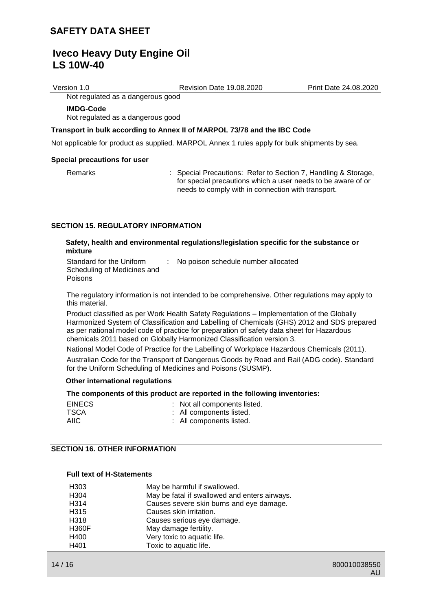Version 1.0 Revision Date 19.08.2020 Print Date 24.08.2020

Not regulated as a dangerous good

### **IMDG-Code**

Not regulated as a dangerous good

### **Transport in bulk according to Annex II of MARPOL 73/78 and the IBC Code**

Not applicable for product as supplied. MARPOL Annex 1 rules apply for bulk shipments by sea.

#### **Special precautions for user**

Remarks : Special Precautions: Refer to Section 7, Handling & Storage, for special precautions which a user needs to be aware of or needs to comply with in connection with transport.

### **SECTION 15. REGULATORY INFORMATION**

### **Safety, health and environmental regulations/legislation specific for the substance or mixture**

Standard for the Uniform Scheduling of Medicines and Poisons

: No poison schedule number allocated

The regulatory information is not intended to be comprehensive. Other regulations may apply to this material.

Product classified as per Work Health Safety Regulations – Implementation of the Globally Harmonized System of Classification and Labelling of Chemicals (GHS) 2012 and SDS prepared as per national model code of practice for preparation of safety data sheet for Hazardous chemicals 2011 based on Globally Harmonized Classification version 3.

National Model Code of Practice for the Labelling of Workplace Hazardous Chemicals (2011).

Australian Code for the Transport of Dangerous Goods by Road and Rail (ADG code). Standard for the Uniform Scheduling of Medicines and Poisons (SUSMP).

### **Other international regulations**

### **The components of this product are reported in the following inventories:**

| <b>EINECS</b> | : Not all components listed. |
|---------------|------------------------------|
| TSCA          | : All components listed.     |
| AIIC          | : All components listed.     |

## **SECTION 16. OTHER INFORMATION**

## **Full text of H-Statements**

| H303         | May be harmful if swallowed.                  |
|--------------|-----------------------------------------------|
| H304         | May be fatal if swallowed and enters airways. |
| H314         | Causes severe skin burns and eye damage.      |
| H315         | Causes skin irritation.                       |
| H318         | Causes serious eye damage.                    |
| <b>H360F</b> | May damage fertility.                         |
| H400         | Very toxic to aquatic life.                   |
| H401         | Toxic to aquatic life.                        |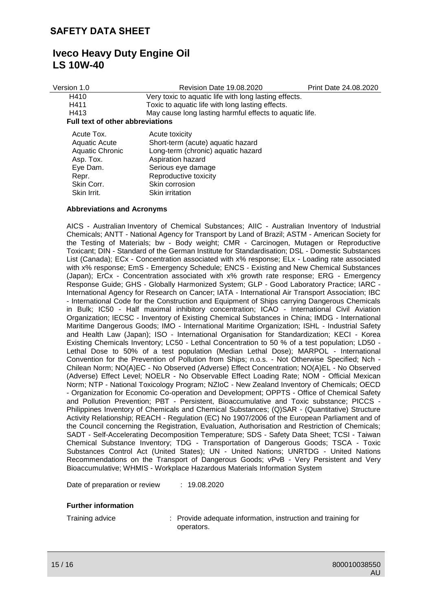| Version 1.0                             | <b>Revision Date 19.08.2020</b>                         | Print Date 24.08.2020 |  |
|-----------------------------------------|---------------------------------------------------------|-----------------------|--|
| H410                                    | Very toxic to aquatic life with long lasting effects.   |                       |  |
| H411                                    | Toxic to aquatic life with long lasting effects.        |                       |  |
| H413                                    | May cause long lasting harmful effects to aquatic life. |                       |  |
| <b>Full text of other abbreviations</b> |                                                         |                       |  |
| Acute Tox.                              | Acute toxicity                                          |                       |  |
| <b>Aquatic Acute</b>                    | Short-term (acute) aquatic hazard                       |                       |  |
| Aquatic Chronic                         | Long-term (chronic) aquatic hazard                      |                       |  |
| Asp. Tox.                               | Aspiration hazard                                       |                       |  |
| Eye Dam.                                | Serious eye damage                                      |                       |  |
| Repr.                                   | Reproductive toxicity                                   |                       |  |
| Skin Corr.                              | Skin corrosion                                          |                       |  |
| Skin Irrit.                             | Skin irritation                                         |                       |  |

## **Abbreviations and Acronyms**

AICS - Australian Inventory of Chemical Substances; AIIC - Australian Inventory of Industrial Chemicals; ANTT - National Agency for Transport by Land of Brazil; ASTM - American Society for the Testing of Materials; bw - Body weight; CMR - Carcinogen, Mutagen or Reproductive Toxicant; DIN - Standard of the German Institute for Standardisation; DSL - Domestic Substances List (Canada); ECx - Concentration associated with x% response; ELx - Loading rate associated with x% response; EmS - Emergency Schedule; ENCS - Existing and New Chemical Substances (Japan); ErCx - Concentration associated with x% growth rate response; ERG - Emergency Response Guide; GHS - Globally Harmonized System; GLP - Good Laboratory Practice; IARC - International Agency for Research on Cancer; IATA - International Air Transport Association; IBC - International Code for the Construction and Equipment of Ships carrying Dangerous Chemicals in Bulk; IC50 - Half maximal inhibitory concentration; ICAO - International Civil Aviation Organization; IECSC - Inventory of Existing Chemical Substances in China; IMDG - International Maritime Dangerous Goods; IMO - International Maritime Organization; ISHL - Industrial Safety and Health Law (Japan); ISO - International Organisation for Standardization; KECI - Korea Existing Chemicals Inventory; LC50 - Lethal Concentration to 50 % of a test population; LD50 - Lethal Dose to 50% of a test population (Median Lethal Dose); MARPOL - International Convention for the Prevention of Pollution from Ships; n.o.s. - Not Otherwise Specified; Nch - Chilean Norm; NO(A)EC - No Observed (Adverse) Effect Concentration; NO(A)EL - No Observed (Adverse) Effect Level; NOELR - No Observable Effect Loading Rate; NOM - Official Mexican Norm; NTP - National Toxicology Program; NZIoC - New Zealand Inventory of Chemicals; OECD - Organization for Economic Co-operation and Development; OPPTS - Office of Chemical Safety and Pollution Prevention; PBT - Persistent, Bioaccumulative and Toxic substance; PICCS - Philippines Inventory of Chemicals and Chemical Substances; (Q)SAR - (Quantitative) Structure Activity Relationship; REACH - Regulation (EC) No 1907/2006 of the European Parliament and of the Council concerning the Registration, Evaluation, Authorisation and Restriction of Chemicals; SADT - Self-Accelerating Decomposition Temperature; SDS - Safety Data Sheet; TCSI - Taiwan Chemical Substance Inventory; TDG - Transportation of Dangerous Goods; TSCA - Toxic Substances Control Act (United States); UN - United Nations; UNRTDG - United Nations Recommendations on the Transport of Dangerous Goods; vPvB - Very Persistent and Very Bioaccumulative; WHMIS - Workplace Hazardous Materials Information System

Date of preparation or review : 19.08.2020

## **Further information**

Training advice : Provide adequate information, instruction and training for operators.